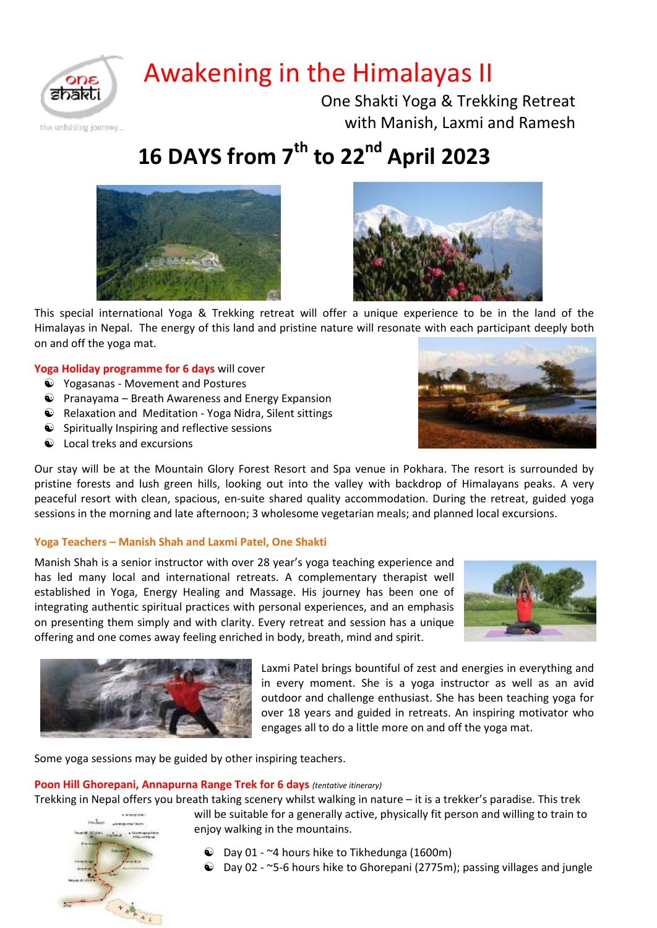

the unfolding journey ...

# Awakening in the Himalayas II

One Shakti Yoga & Trekking Retreat with Manish, Laxmi and Ramesh

**16 DAYS from 7 th to 22 nd April 2023**





This special international Yoga & Trekking retreat will offer a unique experience to be in the land of the Himalayas in Nepal. The energy of this land and pristine nature will resonate with each participant deeply both on and off the yoga mat.

**Yoga Holiday programme for 6 days** will cover

- $\odot$  Yogasanas Movement and Postures
- $\odot$  Pranayama Breath Awareness and Energy Expansion
- $\odot$  Relaxation and Meditation Yoga Nidra, Silent sittings
- $\odot$  Spiritually Inspiring and reflective sessions
- $\odot$  Local treks and excursions

Our stay will be at the Mountain Glory Forest Resort and Spa venue in Pokhara. The resort is surrounded by pristine forests and lush green hills, looking out into the valley with backdrop of Himalayans peaks. A very peaceful resort with clean, spacious, en-suite shared quality accommodation. During the retreat, guided yoga sessions in the morning and late afternoon; 3 wholesome vegetarian meals; and planned local excursions.

## **Yoga Teachers – Manish Shah and Laxmi Patel, One Shakti**

Manish Shah is a senior instructor with over 28 year's yoga teaching experience and has led many local and international retreats. A complementary therapist well established in Yoga, Energy Healing and Massage. His journey has been one of integrating authentic spiritual practices with personal experiences, and an emphasis on presenting them simply and with clarity. Every retreat and session has a unique offering and one comes away feeling enriched in body, breath, mind and spirit.





Laxmi Patel brings bountiful of zest and energies in everything and in every moment. She is a yoga instructor as well as an avid outdoor and challenge enthusiast. She has been teaching yoga for over 18 years and guided in retreats. An inspiring motivator who engages all to do a little more on and off the yoga mat.

Some yoga sessions may be guided by other inspiring teachers.

# **Poon Hill Ghorepani, Annapurna Range Trek for 6 days** *(tentative itinerary)*

Trekking in Nepal offers you breath taking scenery whilst walking in nature – it is a trekker's paradise. This trek

will be suitable for a generally active, physically fit person and willing to train to enjoy walking in the mountains.

- $\odot$  Day 01 ~4 hours hike to Tikhedunga (1600m)
- $\odot$  Day 02 ~5-6 hours hike to Ghorepani (2775m); passing villages and jungle

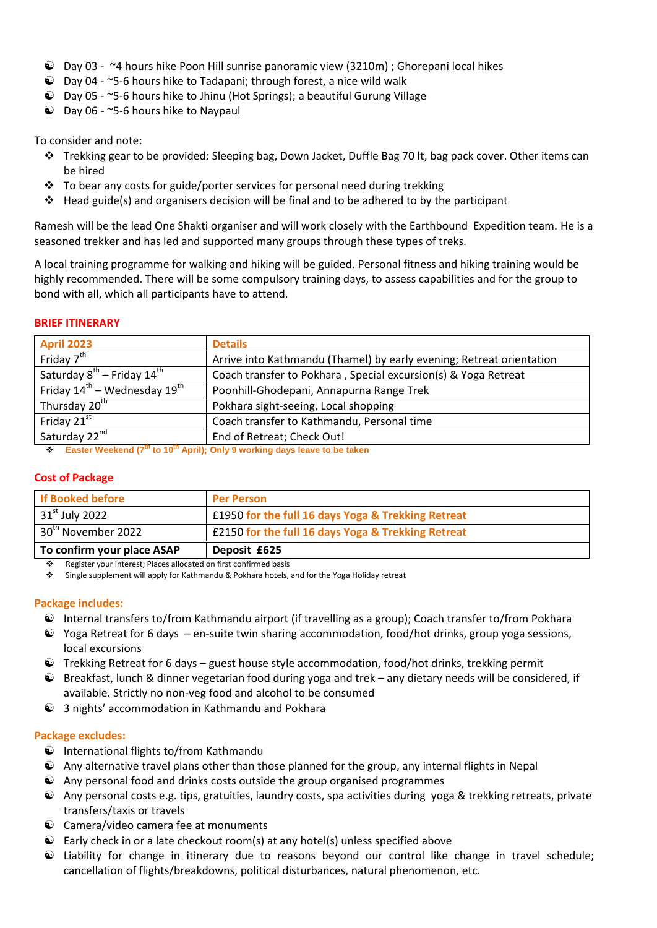- $\odot$  Day 03  $\sim$ 4 hours hike Poon Hill sunrise panoramic view (3210m) ; Ghorepani local hikes
- $\odot$  Day 04 ~5-6 hours hike to Tadapani; through forest, a nice wild walk
- $\odot$  Day 05 ~5-6 hours hike to Jhinu (Hot Springs); a beautiful Gurung Village
- $\odot$  Day 06 ~5-6 hours hike to Naypaul

To consider and note:

- Trekking gear to be provided: Sleeping bag, Down Jacket, Duffle Bag 70 lt, bag pack cover. Other items can be hired
- $\cdot$  To bear any costs for guide/porter services for personal need during trekking
- $\div$  Head guide(s) and organisers decision will be final and to be adhered to by the participant

Ramesh will be the lead One Shakti organiser and will work closely with the Earthbound Expedition team. He is a seasoned trekker and has led and supported many groups through these types of treks.

A local training programme for walking and hiking will be guided. Personal fitness and hiking training would be highly recommended. There will be some compulsory training days, to assess capabilities and for the group to bond with all, which all participants have to attend.

#### **BRIEF ITINERARY**

| <b>April 2023</b>                                    | <b>Details</b>                                                                                                   |
|------------------------------------------------------|------------------------------------------------------------------------------------------------------------------|
| Friday 7 <sup>th</sup>                               | Arrive into Kathmandu (Thamel) by early evening; Retreat orientation                                             |
| Saturday $8^{th}$ – Friday $14^{th}$                 | Coach transfer to Pokhara, Special excursion(s) & Yoga Retreat                                                   |
| Friday $14^{\text{th}}$ – Wednesday $19^{\text{th}}$ | Poonhill-Ghodepani, Annapurna Range Trek                                                                         |
| Thursday $20^{th}$                                   | Pokhara sight-seeing, Local shopping                                                                             |
| Friday 21st                                          | Coach transfer to Kathmandu, Personal time                                                                       |
| Saturday 22 <sup>nd</sup>                            | End of Retreat; Check Out!                                                                                       |
|                                                      | $\lambda$ . Peater Mechand $\sigma^{\text{th}}$ to 40 <sup>th</sup> Annily Only 0 members developed to be taken. |

**★** Easter Weekend (7<sup>th</sup> to 10<sup>th</sup> April); Only 9 working days leave to be taken

#### **Cost of Package**

| E2150 for the full 16 days Yoga & Trekking Retreat                               |  |
|----------------------------------------------------------------------------------|--|
| $30th$ November 2022                                                             |  |
| 31 <sup>st</sup> July 2022<br>£1950 for the full 16 days Yoga & Trekking Retreat |  |
| <b>If Booked before</b><br><b>Per Person</b>                                     |  |

Register your interest; Places allocated on first confirmed basis<br>Single supplement will apply for Kathmandu & Pokhara hotels. Single supplement will apply for Kathmandu & Pokhara hotels, and for the Yoga Holiday retreat

#### **Package includes:**

- $\odot$  Internal transfers to/from Kathmandu airport (if travelling as a group); Coach transfer to/from Pokhara
- $\odot$  Yoga Retreat for 6 days en-suite twin sharing accommodation, food/hot drinks, group yoga sessions, local excursions
- $\bullet$  Trekking Retreat for 6 days guest house style accommodation, food/hot drinks, trekking permit
- $\bullet$  Breakfast, lunch & dinner vegetarian food during yoga and trek any dietary needs will be considered, if available. Strictly no non-veg food and alcohol to be consumed
- $\odot$  3 nights' accommodation in Kathmandu and Pokhara

#### **Package excludes:**

- $\odot$  International flights to/from Kathmandu
- $\odot$  Any alternative travel plans other than those planned for the group, any internal flights in Nepal
- $\bullet$  Any personal food and drinks costs outside the group organised programmes
- $\bullet$  Any personal costs e.g. tips, gratuities, laundry costs, spa activities during yoga & trekking retreats, private transfers/taxis or travels
- $\odot$  Camera/video camera fee at monuments
- $\bullet$  Early check in or a late checkout room(s) at any hotel(s) unless specified above
- Liability for change in itinerary due to reasons beyond our control like change in travel schedule; cancellation of flights/breakdowns, political disturbances, natural phenomenon, etc.